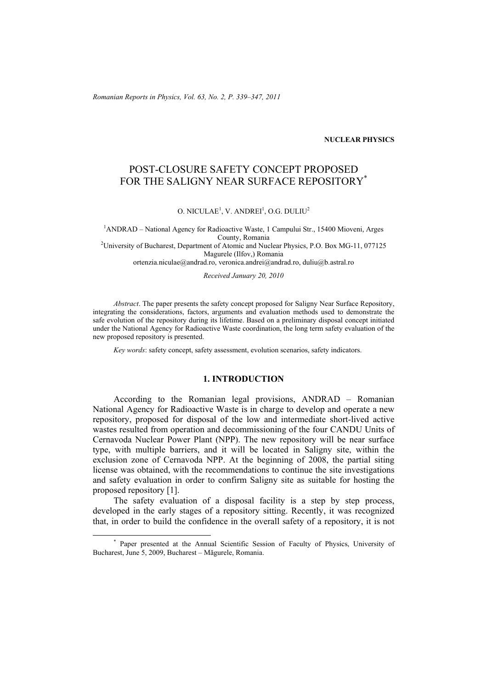*Romanian Reports in Physics, Vol. 63, No. 2, P. 339–347, 2011*

## **NUCLEAR PHYSICS**

# POST-CLOSURE SAFETY CONCEPT PROPOSED FOR THE SALIGNY NEAR SURFACE REPOSITORY<sup>\*</sup>

 $O. NICULAE<sup>1</sup>, V. ANDREI<sup>1</sup>, O.G. DULIU<sup>2</sup>$ 

<sup>1</sup> ANDRAD – National Agency for Radioactive Waste, 1 Campului Str., 15400 Mioveni, Arges County, Romania 2 University of Bucharest, Department of Atomic and Nuclear Physics, P.O. Box MG-11, 077125 Magurele (Ilfov,) Romania ortenzia.niculae@andrad.ro, veronica.andrei@andrad.ro, duliu@b.astral.ro

*Received January 20, 2010* 

*Abstract*. The paper presents the safety concept proposed for Saligny Near Surface Repository, integrating the considerations, factors, arguments and evaluation methods used to demonstrate the safe evolution of the repository during its lifetime. Based on a preliminary disposal concept initiated under the National Agency for Radioactive Waste coordination, the long term safety evaluation of the new proposed repository is presented.

*Key words*: safety concept, safety assessment, evolution scenarios, safety indicators.

## **1. INTRODUCTION**

According to the Romanian legal provisions, ANDRAD – Romanian National Agency for Radioactive Waste is in charge to develop and operate a new repository, proposed for disposal of the low and intermediate short-lived active wastes resulted from operation and decommissioning of the four CANDU Units of Cernavoda Nuclear Power Plant (NPP). The new repository will be near surface type, with multiple barriers, and it will be located in Saligny site, within the exclusion zone of Cernavoda NPP. At the beginning of 2008, the partial siting license was obtained, with the recommendations to continue the site investigations and safety evaluation in order to confirm Saligny site as suitable for hosting the proposed repository [1].

The safety evaluation of a disposal facility is a step by step process, developed in the early stages of a repository sitting. Recently, it was recognized that, in order to build the confidence in the overall safety of a repository, it is not

 <sup>\*</sup> Paper presented at the Annual Scientific Session of Faculty of Physics, University of Bucharest, June 5, 2009, Bucharest – Măgurele, Romania.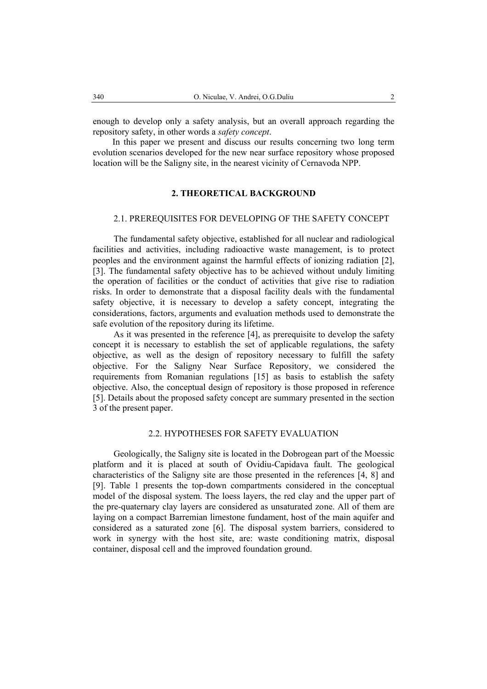enough to develop only a safety analysis, but an overall approach regarding the repository safety, in other words a *safety concept*.

In this paper we present and discuss our results concerning two long term evolution scenarios developed for the new near surface repository whose proposed location will be the Saligny site, in the nearest vicinity of Cernavoda NPP.

## **2. THEORETICAL BACKGROUND**

## 2.1. PREREQUISITES FOR DEVELOPING OF THE SAFETY CONCEPT

The fundamental safety objective, established for all nuclear and radiological facilities and activities, including radioactive waste management, is to protect peoples and the environment against the harmful effects of ionizing radiation [2], [3]. The fundamental safety objective has to be achieved without unduly limiting the operation of facilities or the conduct of activities that give rise to radiation risks. In order to demonstrate that a disposal facility deals with the fundamental safety objective, it is necessary to develop a safety concept, integrating the considerations, factors, arguments and evaluation methods used to demonstrate the safe evolution of the repository during its lifetime.

As it was presented in the reference [4], as prerequisite to develop the safety concept it is necessary to establish the set of applicable regulations, the safety objective, as well as the design of repository necessary to fulfill the safety objective. For the Saligny Near Surface Repository, we considered the requirements from Romanian regulations [15] as basis to establish the safety objective. Also, the conceptual design of repository is those proposed in reference [5]. Details about the proposed safety concept are summary presented in the section 3 of the present paper.

## 2.2. HYPOTHESES FOR SAFETY EVALUATION

Geologically, the Saligny site is located in the Dobrogean part of the Moessic platform and it is placed at south of Ovidiu-Capidava fault. The geological characteristics of the Saligny site are those presented in the references [4, 8] and [9]. Table 1 presents the top-down compartments considered in the conceptual model of the disposal system. The loess layers, the red clay and the upper part of the pre-quaternary clay layers are considered as unsaturated zone. All of them are laying on a compact Barremian limestone fundament, host of the main aquifer and considered as a saturated zone [6]. The disposal system barriers, considered to work in synergy with the host site, are: waste conditioning matrix, disposal container, disposal cell and the improved foundation ground.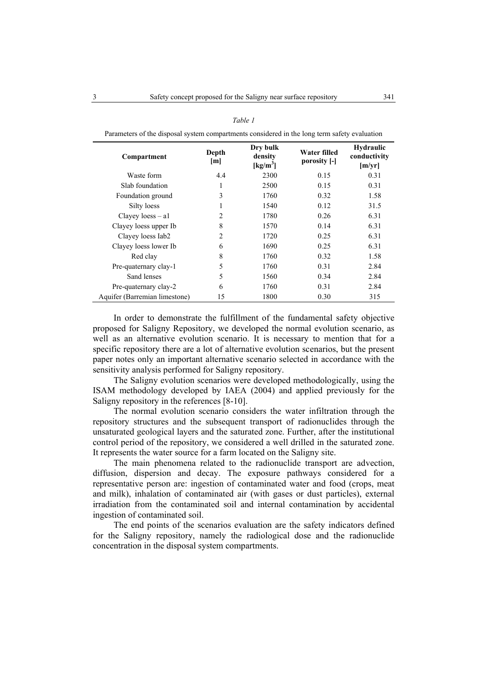| Parameters of the disposal system compartments considered in the long term safety evaluation |                |                                                       |                              |                                            |
|----------------------------------------------------------------------------------------------|----------------|-------------------------------------------------------|------------------------------|--------------------------------------------|
| Compartment                                                                                  | Depth<br>[m]   | Dry bulk<br>density<br>$\left[\mathrm{kg/m}^3\right]$ | Water filled<br>porosity [-] | <b>Hydraulic</b><br>conductivity<br>[m/yr] |
| Waste form                                                                                   | 4.4            | 2300                                                  | 0.15                         | 0.31                                       |
| Slab foundation                                                                              | 1              | 2500                                                  | 0.15                         | 0.31                                       |
| Foundation ground                                                                            | 3              | 1760                                                  | 0.32                         | 1.58                                       |
| Silty loess                                                                                  |                | 1540                                                  | 0.12                         | 31.5                                       |
| Clayey $loess - a1$                                                                          | $\mathfrak{D}$ | 1780                                                  | 0.26                         | 6.31                                       |
| Clayey loess upper Ib                                                                        | 8              | 1570                                                  | 0.14                         | 6.31                                       |
| Clayey loess Iab2                                                                            | 2              | 1720                                                  | 0.25                         | 6.31                                       |
| Clayey loess lower Ib                                                                        | 6              | 1690                                                  | 0.25                         | 6.31                                       |
| Red clay                                                                                     | 8              | 1760                                                  | 0.32                         | 1.58                                       |
| Pre-quaternary clay-1                                                                        | 5              | 1760                                                  | 0.31                         | 2.84                                       |
| Sand lenses                                                                                  | 5              | 1560                                                  | 0.34                         | 2.84                                       |
| Pre-quaternary clay-2                                                                        | 6              | 1760                                                  | 0.31                         | 2.84                                       |
| Aquifer (Barremian limestone)                                                                | 15             | 1800                                                  | 0.30                         | 315                                        |

#### *Table 1*

In order to demonstrate the fulfillment of the fundamental safety objective proposed for Saligny Repository, we developed the normal evolution scenario, as well as an alternative evolution scenario. It is necessary to mention that for a specific repository there are a lot of alternative evolution scenarios, but the present paper notes only an important alternative scenario selected in accordance with the sensitivity analysis performed for Saligny repository.

The Saligny evolution scenarios were developed methodologically, using the ISAM methodology developed by IAEA (2004) and applied previously for the Saligny repository in the references [8-10].

The normal evolution scenario considers the water infiltration through the repository structures and the subsequent transport of radionuclides through the unsaturated geological layers and the saturated zone. Further, after the institutional control period of the repository, we considered a well drilled in the saturated zone. It represents the water source for a farm located on the Saligny site.

The main phenomena related to the radionuclide transport are advection, diffusion, dispersion and decay. The exposure pathways considered for a representative person are: ingestion of contaminated water and food (crops, meat and milk), inhalation of contaminated air (with gases or dust particles), external irradiation from the contaminated soil and internal contamination by accidental ingestion of contaminated soil.

The end points of the scenarios evaluation are the safety indicators defined for the Saligny repository, namely the radiological dose and the radionuclide concentration in the disposal system compartments.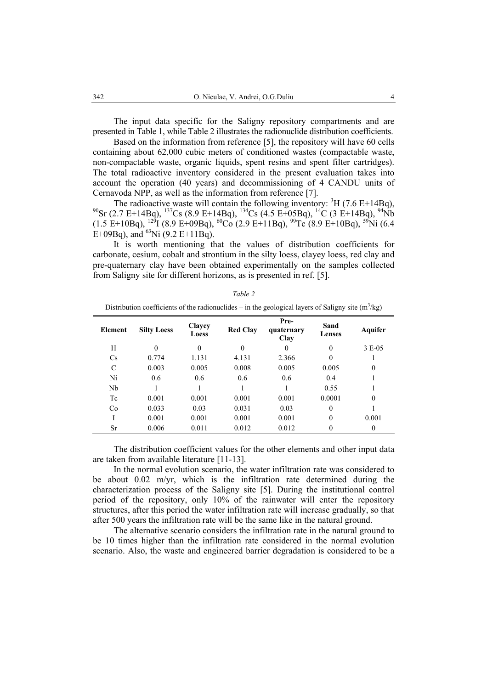The input data specific for the Saligny repository compartments and are presented in Table 1, while Table 2 illustrates the radionuclide distribution coefficients.

Based on the information from reference [5], the repository will have 60 cells containing about 62,000 cubic meters of conditioned wastes (compactable waste, non-compactable waste, organic liquids, spent resins and spent filter cartridges). The total radioactive inventory considered in the present evaluation takes into account the operation (40 years) and decommissioning of 4 CANDU units of Cernavoda NPP, as well as the information from reference [7].

The radioactive waste will contain the following inventory:  ${}^{3}H$  (7.6 E+14Bq),  $^{90}$ Sr (2.7 E+14Bq),  $^{137}$ Cs (8.9 E+14Bq),  $^{134}$ Cs (4.5 E+05Bq),  $^{14}$ C (3 E+14Bq),  $^{94}$ Nb  $(1.5 \text{ E+10Bq})$ ,  $^{129}$ I (8.9 E+09Bq),  $^{60}$ Co (2.9 E+11Bq),  $^{99}$ Tc (8.9 E+10Bq),  $^{59}$ Ni (6.4 E+09Bq), and <sup>63</sup>Ni (9.2 E+11Bq).

It is worth mentioning that the values of distribution coefficients for carbonate, cesium, cobalt and strontium in the silty loess, clayey loess, red clay and pre-quaternary clay have been obtained experimentally on the samples collected from Saligny site for different horizons, as is presented in ref. [5].

| Distribution coefficients of the radionuclides $-$ in the geological layers of Saligny site (in $\left[\kappa g\right]$ ) |         |                    |                        |                 |                            |                       |                |
|---------------------------------------------------------------------------------------------------------------------------|---------|--------------------|------------------------|-----------------|----------------------------|-----------------------|----------------|
|                                                                                                                           | Element | <b>Silty Loess</b> | <b>Clayey</b><br>Loess | <b>Red Clay</b> | Pre-<br>quaternary<br>Clay | Sand<br><b>Lenses</b> | Aquifer        |
|                                                                                                                           | H       | 0                  | $\theta$               | $\theta$        | 0                          | $\theta$              | 3 E-05         |
|                                                                                                                           | Cs      | 0.774              | 1.131                  | 4.131           | 2.366                      |                       |                |
|                                                                                                                           | C       | 0.003              | 0.005                  | 0.008           | 0.005                      | 0.005                 | $\theta$       |
|                                                                                                                           | Ni      | 0.6                | 0.6                    | 0.6             | 0.6                        | 0.4                   |                |
|                                                                                                                           | Nb      |                    |                        |                 |                            | 0.55                  |                |
|                                                                                                                           | Tc      | 0.001              | 0.001                  | 0.001           | 0.001                      | 0.0001                | $\theta$       |
|                                                                                                                           | Co      | 0.033              | 0.03                   | 0.031           | 0.03                       | $\Omega$              |                |
|                                                                                                                           | I       | 0.001              | 0.001                  | 0.001           | 0.001                      | $\Omega$              | 0.001          |
|                                                                                                                           | Sr      | 0.006              | 0.011                  | 0.012           | 0.012                      |                       | $\overline{0}$ |
|                                                                                                                           |         |                    |                        |                 |                            |                       |                |

*Table 2*  Distribution coefficients of the radionuclides – in the geological layers of Saligny site  $(m^3/kg)$ 

The distribution coefficient values for the other elements and other input data are taken from available literature [11-13].

In the normal evolution scenario, the water infiltration rate was considered to be about 0.02 m/yr, which is the infiltration rate determined during the characterization process of the Saligny site [5]. During the institutional control period of the repository, only 10% of the rainwater will enter the repository structures, after this period the water infiltration rate will increase gradually, so that after 500 years the infiltration rate will be the same like in the natural ground.

The alternative scenario considers the infiltration rate in the natural ground to be 10 times higher than the infiltration rate considered in the normal evolution scenario. Also, the waste and engineered barrier degradation is considered to be a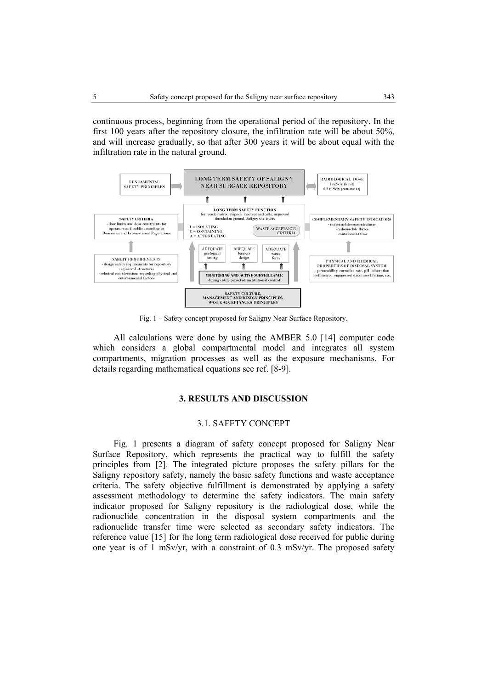continuous process, beginning from the operational period of the repository. In the first 100 years after the repository closure, the infiltration rate will be about 50%, and will increase gradually, so that after 300 years it will be about equal with the infiltration rate in the natural ground.



Fig. 1 – Safety concept proposed for Saligny Near Surface Repository.

All calculations were done by using the AMBER 5.0 [14] computer code which considers a global compartmental model and integrates all system compartments, migration processes as well as the exposure mechanisms. For details regarding mathematical equations see ref. [8-9].

## **3. RESULTS AND DISCUSSION**

## 3.1. SAFETY CONCEPT

Fig. 1 presents a diagram of safety concept proposed for Saligny Near Surface Repository, which represents the practical way to fulfill the safety principles from [2]. The integrated picture proposes the safety pillars for the Saligny repository safety, namely the basic safety functions and waste acceptance criteria. The safety objective fulfillment is demonstrated by applying a safety assessment methodology to determine the safety indicators. The main safety indicator proposed for Saligny repository is the radiological dose, while the radionuclide concentration in the disposal system compartments and the radionuclide transfer time were selected as secondary safety indicators. The reference value [15] for the long term radiological dose received for public during one year is of 1 mSv/yr, with a constraint of 0.3 mSv/yr. The proposed safety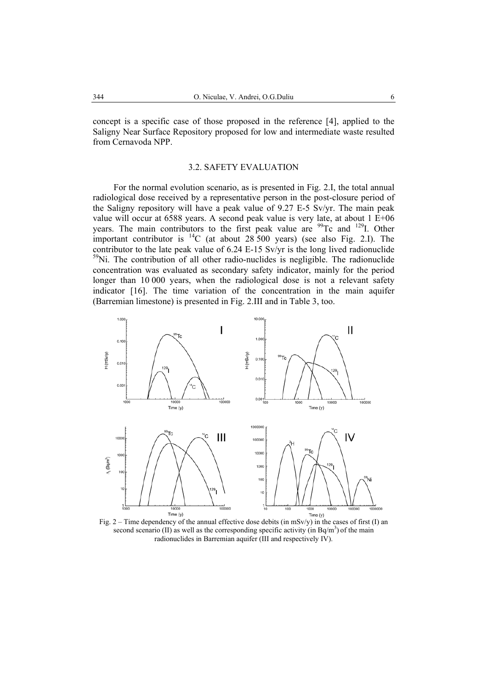concept is a specific case of those proposed in the reference [4], applied to the Saligny Near Surface Repository proposed for low and intermediate waste resulted from Cernavoda NPP.

## 3.2. SAFETY EVALUATION

For the normal evolution scenario, as is presented in Fig. 2.I, the total annual radiological dose received by a representative person in the post-closure period of the Saligny repository will have a peak value of 9.27 E-5 Sv/yr. The main peak value will occur at 6588 years. A second peak value is very late, at about 1 E+06 years. The main contributors to the first peak value are <sup>99</sup>Tc and <sup>129</sup>I. Other important contributor is <sup>14</sup>C (at about 28 500 years) (see also Fig. 2.I). The contributor to the late peak value of 6.24 E-15 Sv/yr is the long lived radionuclide 59Ni. The contribution of all other radio-nuclides is negligible. The radionuclide concentration was evaluated as secondary safety indicator, mainly for the period longer than 10 000 years, when the radiological dose is not a relevant safety indicator [16]. The time variation of the concentration in the main aquifer (Barremian limestone) is presented in Fig. 2.III and in Table 3, too.



Fig. 2 – Time dependency of the annual effective dose debits (in  $\text{mSv/y}$ ) in the cases of first (I) an second scenario (II) as well as the corresponding specific activity (in  $Bq/m<sup>3</sup>$ ) of the main radionuclides in Barremian aquifer (III and respectively IV).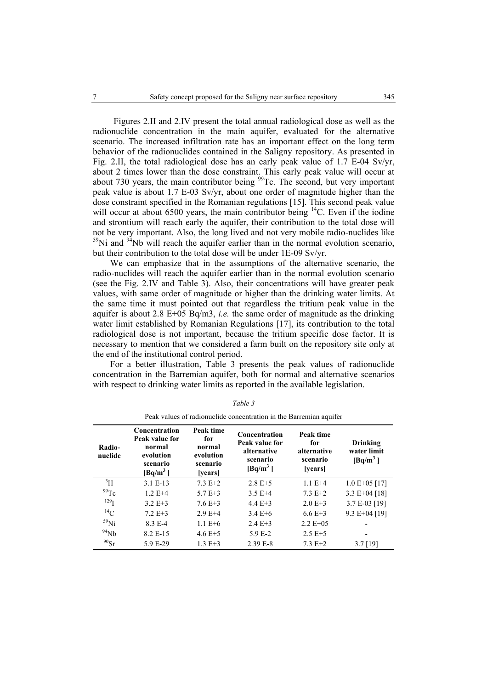Figures 2.II and 2.IV present the total annual radiological dose as well as the radionuclide concentration in the main aquifer, evaluated for the alternative scenario. The increased infiltration rate has an important effect on the long term behavior of the radionuclides contained in the Saligny repository. As presented in Fig. 2.II, the total radiological dose has an early peak value of 1.7 E-04 Sv/yr, about 2 times lower than the dose constraint. This early peak value will occur at about 730 years, the main contributor being  $^{99}$ Tc. The second, but very important peak value is about 1.7 E-03 Sv/yr, about one order of magnitude higher than the dose constraint specified in the Romanian regulations [15]. This second peak value will occur at about 6500 years, the main contributor being  $^{14}$ C. Even if the iodine and strontium will reach early the aquifer, their contribution to the total dose will not be very important. Also, the long lived and not very mobile radio-nuclides like  $59$ Ni and  $94$ Nb will reach the aquifer earlier than in the normal evolution scenario, but their contribution to the total dose will be under 1E-09 Sv/yr.

We can emphasize that in the assumptions of the alternative scenario, the radio-nuclides will reach the aquifer earlier than in the normal evolution scenario (see the Fig. 2.IV and Table 3). Also, their concentrations will have greater peak values, with same order of magnitude or higher than the drinking water limits. At the same time it must pointed out that regardless the tritium peak value in the aquifer is about 2.8 E+05 Bq/m3, *i.e.* the same order of magnitude as the drinking water limit established by Romanian Regulations [17], its contribution to the total radiological dose is not important, because the tritium specific dose factor. It is necessary to mention that we considered a farm built on the repository site only at the end of the institutional control period.

For a better illustration, Table 3 presents the peak values of radionuclide concentration in the Barremian aquifer, both for normal and alternative scenarios with respect to drinking water limits as reported in the available legislation.

|                   | Peak values of radionuclide concentration in the Barremian aquifer               |                                                                |                                                                          |                                                        |                                       |  |
|-------------------|----------------------------------------------------------------------------------|----------------------------------------------------------------|--------------------------------------------------------------------------|--------------------------------------------------------|---------------------------------------|--|
| Radio-<br>nuclide | Concentration<br>Peak value for<br>normal<br>evolution<br>scenario<br>$[Bq/m^3]$ | Peak time<br>for<br>normal<br>evolution<br>scenario<br>[years] | Concentration<br>Peak value for<br>alternative<br>scenario<br>$[Bq/m^3]$ | Peak time<br>for<br>alternative<br>scenario<br>[years] | Drinking<br>water limit<br>$[Bq/m^3]$ |  |
| $\rm{^3H}$        | $3.1 E-13$                                                                       | $7.3 E+2$                                                      | $2.8 E + 5$                                                              | $1.1 E+4$                                              | $1.0 E + 05 [17]$                     |  |
| 99Tc              | $1.2 E+4$                                                                        | $5.7 E + 3$                                                    | $3.5E+4$                                                                 | $7.3 E+2$                                              | 3.3 E+04 [18]                         |  |
| $^{129}$ I        | $3.2 E+3$                                                                        | $7.6E+3$                                                       | $4.4 E+3$                                                                | $2.0 E + 3$                                            | 3.7 E-03 [19]                         |  |
| $^{14}$ C         | $7.2 E + 3$                                                                      | $2.9E+4$                                                       | $3.4 E + 6$                                                              | $6.6 E + 3$                                            | 9.3 E+04 [19]                         |  |
| $^{59}$ Ni        | 8.3 E-4                                                                          | $1.1 E+6$                                                      | $2.4 E+3$                                                                | $2.2 E+0.5$                                            |                                       |  |
| $^{94}Nb$         | 8.2 E-15                                                                         | $4.6 E + 5$                                                    | $5.9E - 2$                                                               | $2.5 E+5$                                              |                                       |  |
| $^{90}Sr$         | 5.9 E-29                                                                         | $1.3 E+3$                                                      | $2.39E - 8$                                                              | $7.3 E+2$                                              | $3.7$ [19]                            |  |

*Table 3*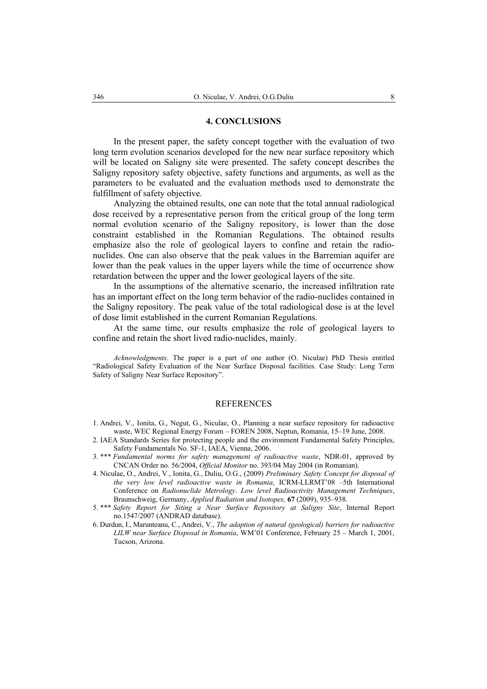## **4. CONCLUSIONS**

In the present paper, the safety concept together with the evaluation of two long term evolution scenarios developed for the new near surface repository which will be located on Saligny site were presented. The safety concept describes the Saligny repository safety objective, safety functions and arguments, as well as the parameters to be evaluated and the evaluation methods used to demonstrate the fulfillment of safety objective.

Analyzing the obtained results, one can note that the total annual radiological dose received by a representative person from the critical group of the long term normal evolution scenario of the Saligny repository, is lower than the dose constraint established in the Romanian Regulations. The obtained results emphasize also the role of geological layers to confine and retain the radionuclides. One can also observe that the peak values in the Barremian aquifer are lower than the peak values in the upper layers while the time of occurrence show retardation between the upper and the lower geological layers of the site.

In the assumptions of the alternative scenario, the increased infiltration rate has an important effect on the long term behavior of the radio-nuclides contained in the Saligny repository. The peak value of the total radiological dose is at the level of dose limit established in the current Romanian Regulations.

At the same time, our results emphasize the role of geological layers to confine and retain the short lived radio-nuclides, mainly.

*Acknowledgments*. The paper is a part of one author (O. Niculae) PhD Thesis entitled "Radiological Safety Evaluation of the Near Surface Disposal facilities. Case Study: Long Term Safety of Saligny Near Surface Repository".

#### REFERENCES

- 1. Andrei, V., Ionita, G., Negut, G., Niculae, O., Planning a near surface repository for radioactive waste, WEC Regional Energy Forum – FOREN 2008, Neptun, Romania, 15–19 June, 2008.
- 2. IAEA Standards Series for protecting people and the environment Fundamental Safety Principles, Safety Fundamentals No. SF-1, IAEA, Vienna, 2006.
- 3. \*\*\* *Fundamental norms for safety management of radioactive waste*, NDR-01, approved by CNCAN Order no. 56/2004, *Official Monitor* no. 393/04 May 2004 (in Romanian).
- 4. Niculae, O., Andrei, V., Ionita, G., Duliu, O.G., (2009) *Preliminary Safety Concept for disposal of the very low level radioactive waste in Romania*, ICRM-LLRMT'08 –5th International Conference on *Radionuclide Metrology*. *Low level Radioactivity Management Techniques*, Braunschweig, Germany, *Applied Radiation and Isotopes,* **67** (2009), 935–938.
- 5. \*\*\* *Safety Report for Siting a Near Surface Repository at Saligny Site*, Internal Report no.1547/2007 (ANDRAD database).
- 6. Durdun, I., Marunteanu, C., Andrei, V., *The adaption of natural (geological) barriers for radioactive LILW near Surface Disposal in Romania*, WM'01 Conference, February 25 – March 1, 2001, Tucson, Arizona.